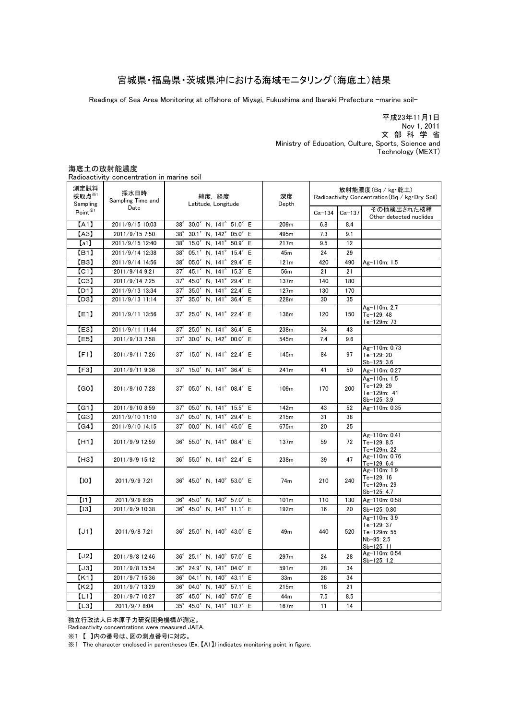### 宮城県・福島県・茨城県沖における海域モニタリング(海底土)結果

Readings of Sea Area Monitoring at offshore of Miyagi, Fukushima and Ibaraki Prefecture -marine soil-

平成23年11月1日 文 部 科 学 省 Nov 1, 2011 Ministry of Education, Culture, Sports, Science and Technology (MEXT)

#### 海底土の放射能濃度

Radioactivity concentration in marine soil

| <b>NUMBER 1999</b>                    | CONCENTER CITY IN THEIRIC SON |                                                         |                  |                                                                     |            |                                                                       |
|---------------------------------------|-------------------------------|---------------------------------------------------------|------------------|---------------------------------------------------------------------|------------|-----------------------------------------------------------------------|
| 測定試料<br>採取点 <sup>※1</sup><br>Sampling | 採水日時<br>Sampling Time and     | 緯度,経度<br>Latitude, Longitude                            | 深度<br>Depth      | 放射能濃度(Bq/kg・乾土)<br>Radioactivity Concentration (Bq / kg · Dry Soil) |            |                                                                       |
| Point <sup>*1</sup>                   | Date                          |                                                         |                  | $Cs - 134$                                                          | $Cs - 137$ | その他検出された核種<br>Other detected nuclides                                 |
| [A1]                                  | 2011/9/15 10:03               | 30.0'<br>N, 141° 51.0' E<br>38°                         | 209m             | 6.8                                                                 | 8.4        |                                                                       |
| [AA]                                  | 2011/9/15 7:50                | 30.1'<br>N. $142^\circ$<br>05.0' E<br>$38^\circ$        | 495m             | 7.3                                                                 | 9.1        |                                                                       |
| [a1]                                  | 2011/9/15 12:40               | $38^\circ$<br>15.0'<br>$N, 141^{\circ}$<br>50.9' E      | 217m             | 9.5                                                                 | 12         |                                                                       |
| [ <sub>B1</sub> ]                     | 2011/9/14 12:38               | $38^\circ$<br>05.1'<br>N, 141°<br>15.4'<br>E            | 45m              | 24                                                                  | 29         |                                                                       |
| [ <sub>B3</sub> ]                     | 2011/9/14 14:56               | 05.0'<br>N, 141°<br>29.4'<br>$38^\circ$<br>E            | 121m             | 420                                                                 | 490        | Ag-110m: 1.5                                                          |
| [CI]                                  | 2011/9/14 9:21                | $37^\circ$<br>$N, 141^\circ$<br>15.3' E<br>45.1'        | 56m              | 21                                                                  | 21         |                                                                       |
| [C3]                                  | 2011/9/14 7:25                | 45.0'<br>$N, 141^{\circ}$<br>29.4'<br>E<br>$37^\circ$   | 137m             | 140                                                                 | 180        |                                                                       |
| [D1]                                  | 2011/9/13 13:34               | $37^\circ$<br>N, 141°<br>35.0'<br>22.4'<br>Ε            | 127m             | 130                                                                 | 170        |                                                                       |
| [D3]                                  | 2011/9/13 11:14               | 35.0'<br>N, 141°<br>36.4'<br>$37^\circ$<br>Ε            | 228m             | 30                                                                  | 35         |                                                                       |
| [E1]                                  | 2011/9/11 13:56               | 37° 25.0' N, 141° 22.4' E                               | 136m             | 120                                                                 | 150        | Ag-110m: 2.7<br>Te-129: 48<br>Te-129m: 73                             |
| [E3]                                  | 2011/9/11 11:44               | $37^\circ$<br>25.0'<br>N, 141°<br>36.4' E               | 238m             | 34                                                                  | 43         |                                                                       |
| [E5]                                  | 2011/9/13 7:58                | $37^\circ$<br>30.0'<br>$N, 142^\circ$<br>00.0' E        | 545m             | 7.4                                                                 | 9.6        |                                                                       |
| [F1]                                  | 2011/9/11 7:26                | 37° 15.0' N, 141° 22.4' E                               | 145 <sub>m</sub> | 84                                                                  | 97         | Ag-110m: 0.73<br>Te-129: 20<br>Sb-125: 3.6                            |
| [F3]                                  | 2011/9/11 9:36                | 15.0' N, 141° 36.4' E<br>$37^\circ$                     | 241m             | 41                                                                  | 50         | Ag-110m: 0.27                                                         |
| [GO]                                  | 2011/9/10 7:28                | 37° 05.0' N, 141° 08.4' E                               | 109 <sub>m</sub> | 170                                                                 | 200        | Ag-110m: 1.5<br>Te-129: 29<br>Te-129m: 41<br>Sb-125: 3.9              |
| (G1)                                  | 2011/9/10 8:59                | N, 141° 15.5' E<br>$37^\circ$<br>05.0'                  | 142m             | 43                                                                  | 52         | Ag-110m: 0.35                                                         |
| (G3)                                  | 2011/9/10 11:10               | $37^\circ$<br>N, 141°<br>05.0'<br>29.4' E               | 215m             | 31                                                                  | 38         |                                                                       |
| (G4)                                  | 2011/9/10 14:15               | $37^\circ$<br>00.0'<br>$N, 141^{\circ}$<br>45.0' E      | 675m             | 20                                                                  | 25         |                                                                       |
| [H1]                                  | 2011/9/9 12:59                | 36° 55.0' N, 141° 08.4' E                               | 137m             | 59                                                                  | 72         | Ag-110m: 0.41<br>Te-129: 8.5<br>Te-129m: 22                           |
| [H3]                                  | 2011/9/9 15:12                | 36° 55.0' N, 141° 22.4' E                               | 238m             | 39                                                                  | 47         | Ag-110m: 0.76<br>Te-129: 6.4                                          |
| [10]                                  | 2011/9/9 7:21                 | 36° 45.0' N, 140° 53.0' E                               | 74m              | 210                                                                 | 240        | Ag-110m: 1.9<br>Te-129: 16<br>Te-129m: 29<br>Sb-125: 4.7              |
| (n)                                   | 2011/9/9 8:35                 | 45.0'<br>N <sub>140°</sub><br>57.0' E<br>$36^\circ$     | 101 <sub>m</sub> | 110                                                                 | 130        | Ag-110m: 0.58                                                         |
| [13]                                  | 2011/9/9 10:38                | $36^{\circ}$<br>N, 141° 11.1' E<br>45.0'                | 192m             | 16                                                                  | 20         | Sb-125: 0.80                                                          |
| [J1]                                  | 2011/9/8 7:21                 | 36° 25.0' N, 140° 43.0' E                               | 49 <sub>m</sub>  | 440                                                                 | 520        | Ag-110m: 3.9<br>Te-129: 37<br>Te-129m: 55<br>Nb-95: 2.5<br>Sb-125: 11 |
| [J2]                                  | 2011/9/8 12:46                | 36° 25.1' N, 140° 57.0' E                               | 297m             | 24                                                                  | 28         | Ag-110m: 0.54<br>Sb-125: 1.2                                          |
| [J3]                                  | 2011/9/8 15:54                | $36^\circ$<br>24.9'<br>N, 141°<br>04.0' E               | 591 <sub>m</sub> | 28                                                                  | 34         |                                                                       |
| K1                                    | 2011/9/7 15:36                | 04.1'<br>N, 140° 43.1' E<br>$36^\circ$                  | 33 <sub>m</sub>  | 28                                                                  | 34         |                                                                       |
| K <sub>2</sub>                        | 2011/9/7 13:29                | $36^\circ$<br>$N, 140^\circ$<br>04.0'<br>57.1' E        | 215m             | 18                                                                  | 21         |                                                                       |
| [L1]                                  | 2011/9/7 10:27                | $35^\circ$<br>45.0'<br>N <sub>140</sub> °<br>57.0'<br>E | 44m              | 7.5                                                                 | 8.5        |                                                                       |
| [L3]                                  | 2011/9/7 8:04                 | 35° 45.0' N, 141° 10.7' E                               | 167m             | 11                                                                  | 14         |                                                                       |

独立行政法人日本原子力研究開発機構が測定。

Radioactivity concentrations were measured JAEA.

※1 【 】内の番号は、図の測点番号に対応。

※1 The character enclosed in parentheses (Ex. 【A1】) indicates monitoring point in figure.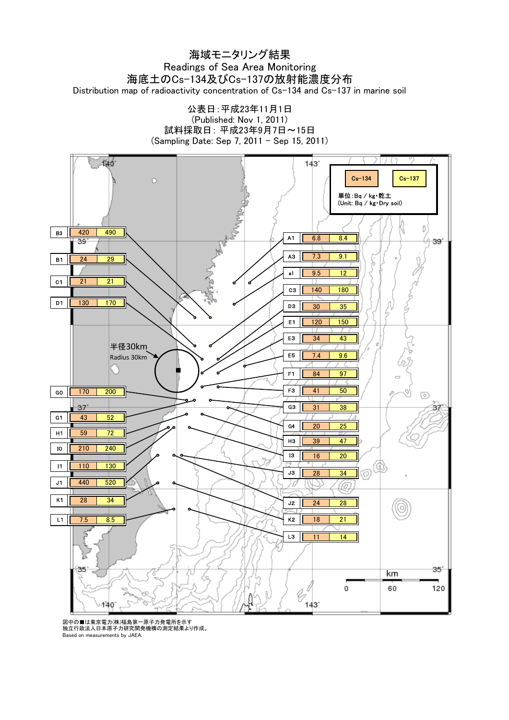### Distribution map of radioactivity concentration of Cs-134 and Cs-137 in marine soil 海域モニタリング結果 Readings of Sea Area Monitoring 海底土のCs-134及びCs-137の放射能濃度分布





図中の■は東京電力(株)福島第一原子力発電所を示す 独立行政法人日本原子力研究開発機構の測定結果より作成。 Based on measurements by JAEA.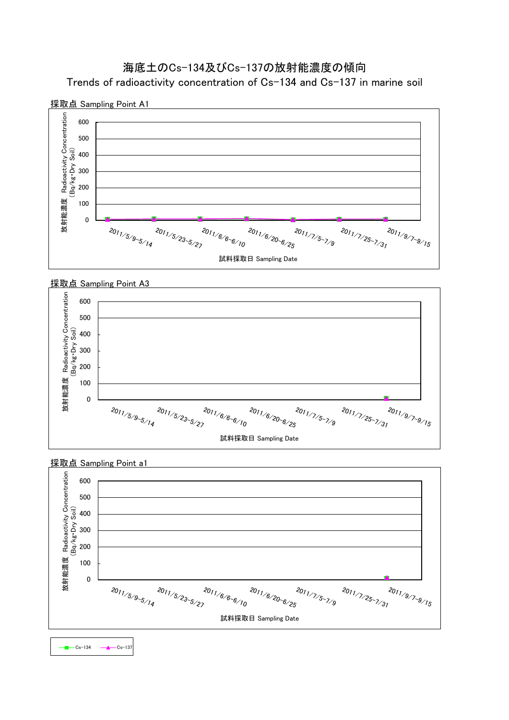### 海底土のCs-134及びCs-137の放射能濃度の傾向 Trends of radioactivity concentration of Cs-134 and Cs-137 in marine soil





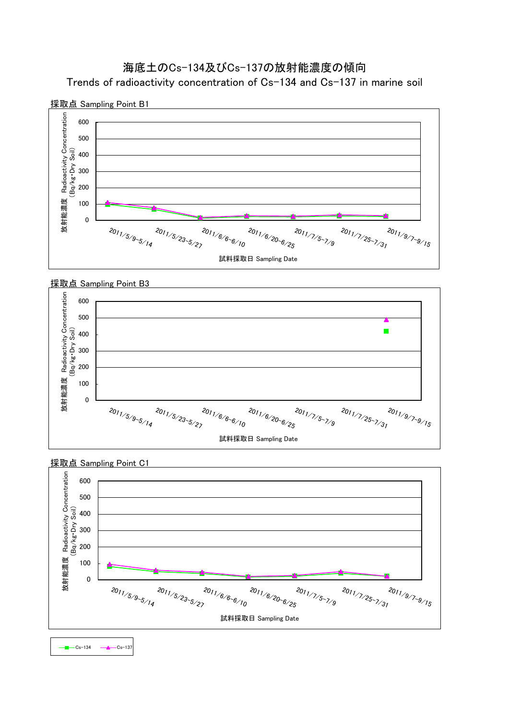



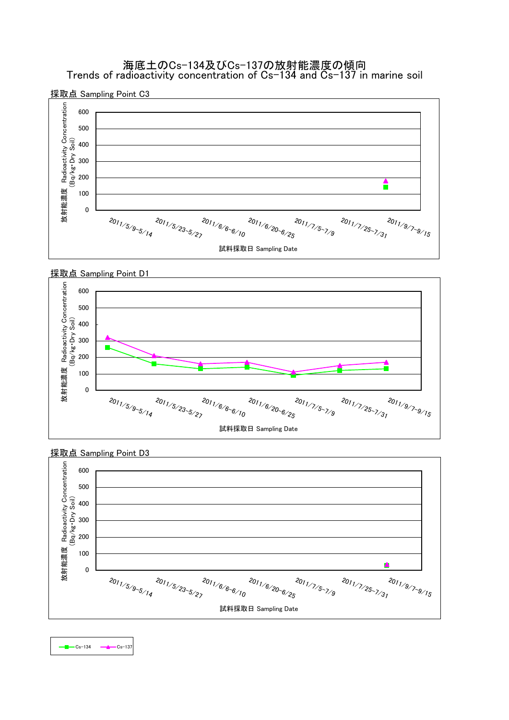海底土のCs-134及びCs-137の放射能濃度の傾向 Trends of radioactivity concentration of Cs-134 and Cs-137 in marine soil







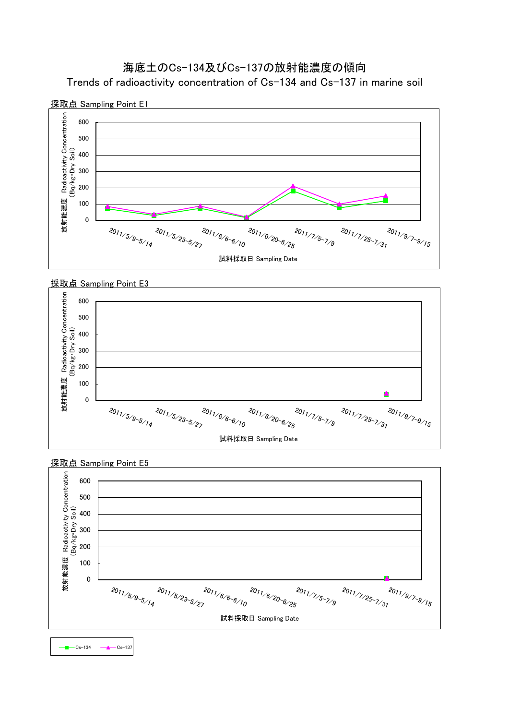# Trends of radioactivity concentration of Cs-134 and Cs-137 in marine soil 海底土のCs-134及びCs-137の放射能濃度の傾向





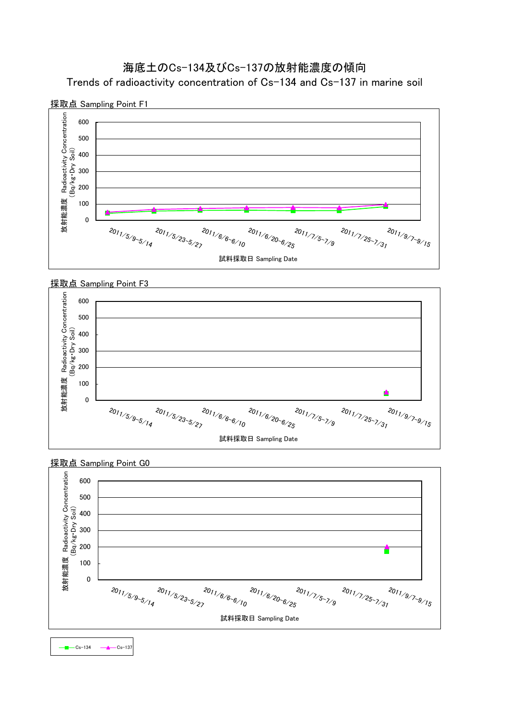



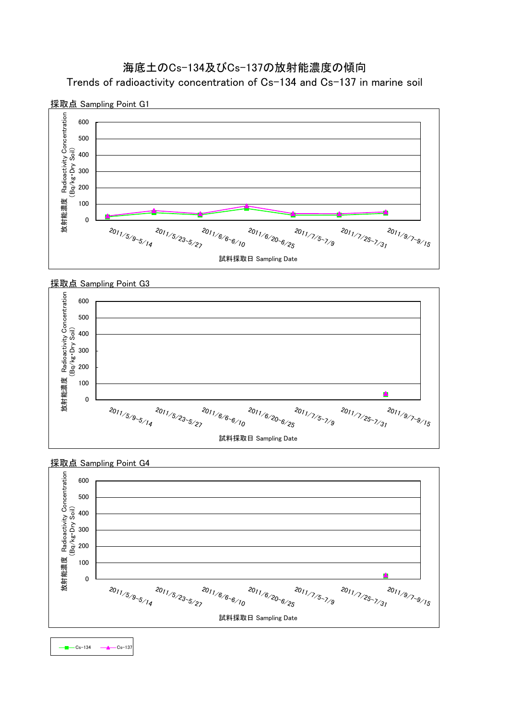



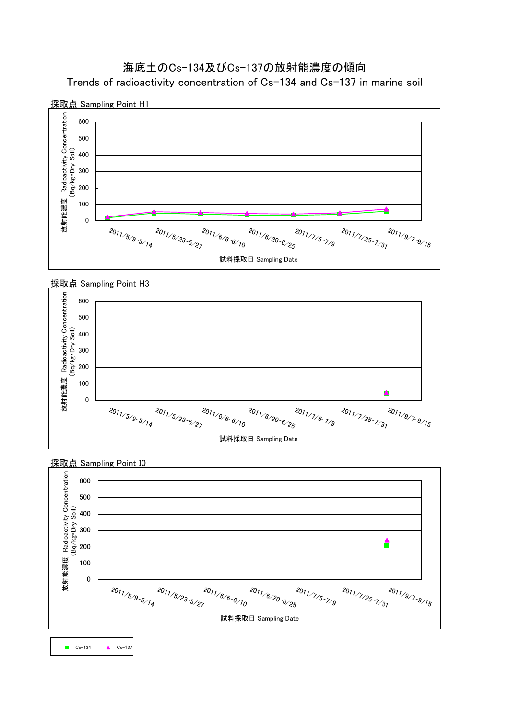



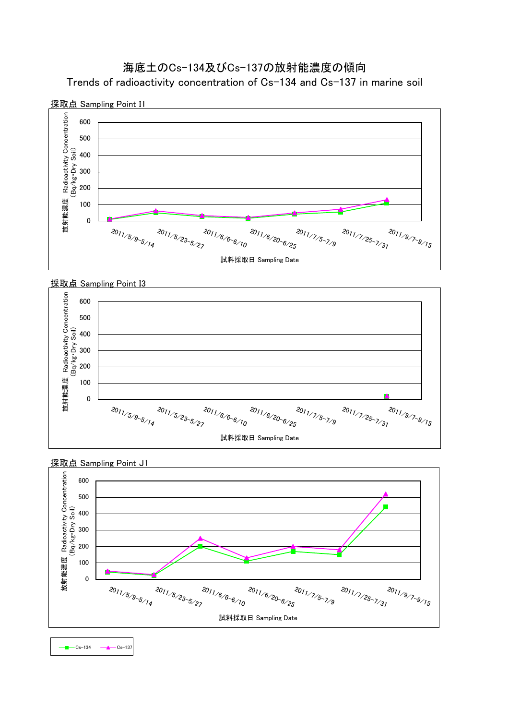



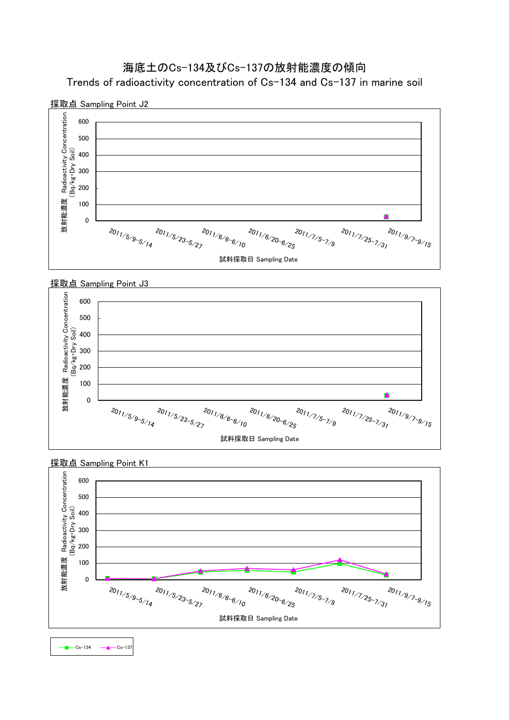